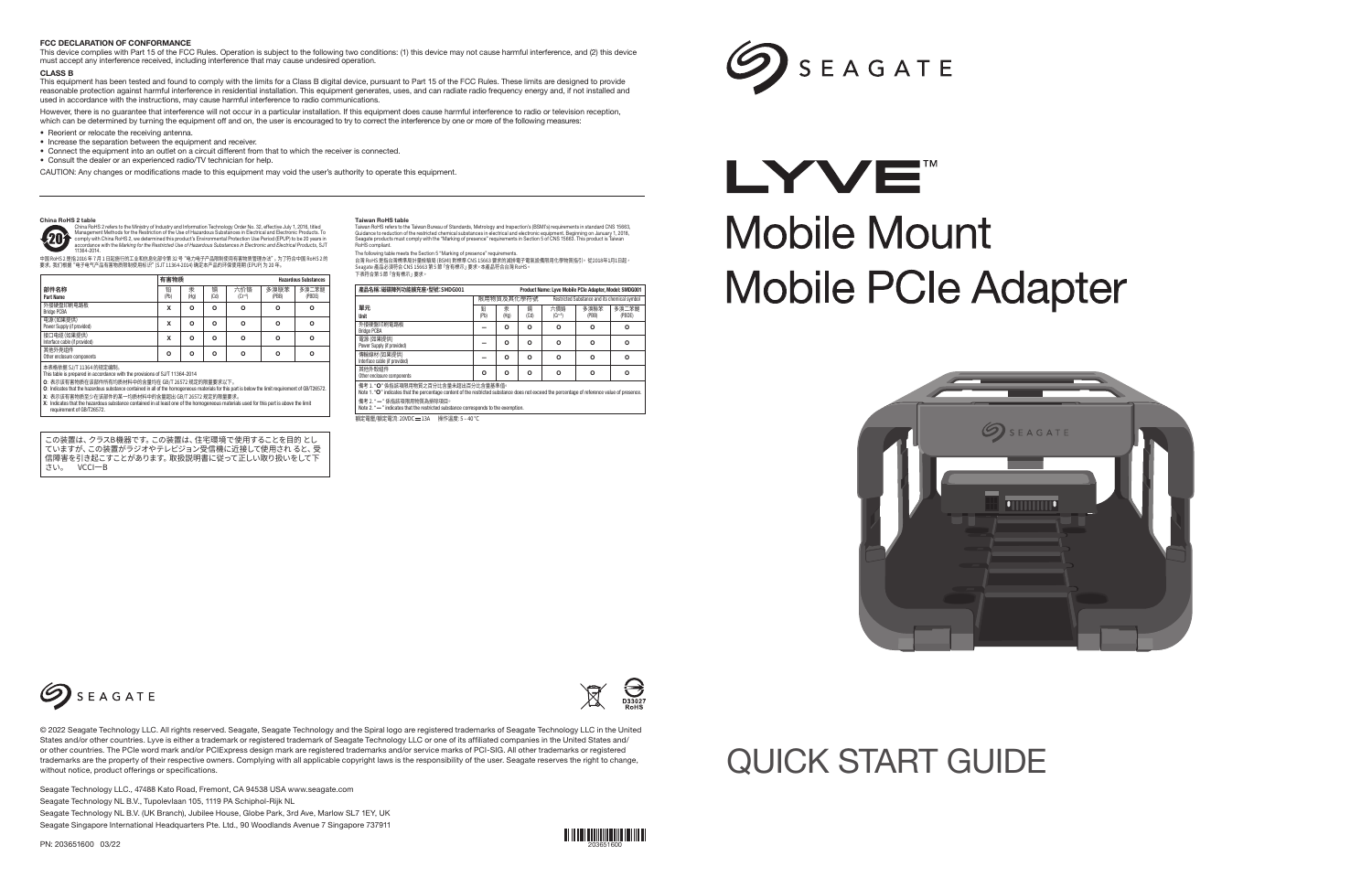

Seagate Technology LLC., 47488 Kato Road, Fremont, CA 94538 USA www.seagate.com Seagate Technology NL B.V., Tupolevlaan 105, 1119 PA Schiphol-Rijk NL Seagate Technology NL B.V. (UK Branch), Jubilee House, Globe Park, 3rd Ave, Marlow SL7 1EY, UK Seagate Singapore International Headquarters Pte. Ltd., 90 Woodlands Avenue 7 Singapore 737911

PN: 203651600 03/22



# QUICK START GUIDE

- X: 表示该有害物质至少在该部件的某一均质材料中的含量超出 GB/T 26572 规定的限量要求。
- X: Indicates that the hazardous substance contained in at least one of the homogeneous materials used for this part is above the limit requirement of GB/T26572.

| 產品名稱:磁碟陣列功能擴充座,型號:SMDG001                                                                                                                                                            | Product Name: Lyve Mobile PCIe Adapter, Model: SMDG001 |           |           |                                              |               |                 |
|--------------------------------------------------------------------------------------------------------------------------------------------------------------------------------------|--------------------------------------------------------|-----------|-----------|----------------------------------------------|---------------|-----------------|
|                                                                                                                                                                                      | 限用物質及其化學符號                                             |           |           | Restricted Substance and its chemical symbol |               |                 |
| 單元<br>Unit                                                                                                                                                                           | 쏾<br>(Pb)                                              | 汞<br>(Hg) | 鍢<br>(Cd) | 六價鉻<br>$(Cr^{+6})$                           | 多溴聯苯<br>(PBB) | 多溴二苯醚<br>(PBDE) |
| 外接硬盤印刷雷路板<br><b>Bridge PCBA</b>                                                                                                                                                      |                                                        | $\Omega$  | O         | O                                            | o             | $\circ$         |
| 電源(如果提供)<br>Power Supply (if provided)                                                                                                                                               |                                                        | O         | O         | O                                            | o             | o               |
| 傳輸線材 (如果提供)<br>Interface cable (if provided)                                                                                                                                         |                                                        | $\Omega$  | $\Omega$  | O                                            | o             | $\circ$         |
| 其他外殼組件<br>Other enclosure components                                                                                                                                                 | o                                                      | $\Omega$  | O         | O                                            | o             | $\circ$         |
| 備考 1. "O" 係指該項限用物質之百分比含量未超出百分比含量基準值。<br>Note 1. "O" indicates that the percentage content of the restricted substance does not exceed the percentage of reference value of presence. |                                                        |           |           |                                              |               |                 |
| 備考 2. "—"係指該項限用物質為排除項目。<br>Note 2. "-" indicates that the restricted substance corresponds to the exemption.                                                                         |                                                        |           |           |                                              |               |                 |

額定電壓/額定電流: 20VDC = 134 操作溫度: 5 = 40 °C

# SEAGATE

# LYVE" **Mobile Mount Mobile PCIe Adapter**





The following table meets the Section 5 "Marking of presence" requirements.<br>台灣 RoHS 是指合灣標準局計量檢驗局 (BSMI) 對標準 CNS 15663 要求的減排電子電氣設備限用化學物質指引。 從2018年1月1日起,<br>Seagate 產品必須符合 CNS 15663 第 5 節 「含有標示」要求。本產品符合台灣 RoHS。 下表符合第 5 節「含有標示」要求。

|           | 有害物质      |           |                   |               | <b>Hazardous Substances</b> |  |  |
|-----------|-----------|-----------|-------------------|---------------|-----------------------------|--|--|
| 铅<br>(Pb) | 汞<br>(Hg) | 镉<br>(Cd) | 六价铬<br>$(Cr + 6)$ | 多溴联苯<br>(PBB) | 多溴二苯醚<br>(PBDE)             |  |  |
| x         | o         | o         | o                 | $\circ$       | o                           |  |  |
| x         | o         | o         | $\Omega$          | $\circ$       | o                           |  |  |
| X         | o         | o         | o                 | $\circ$       | o                           |  |  |
| $\circ$   | o         | o         | o                 | $\circ$       | o                           |  |  |
|           |           |           |                   |               |                             |  |  |

O: 表示该有害物质在该部件所有均质材料中的含量均在 GB/T 26572 规定的限量要求以下。<br>O: Indicates that the hazardous substance contained in all of the homogeneous materials for this part is below the limit requirement of GB/T26572.

However, there is no guarantee that interference will not occur in a particular installation. If this equipment does cause harmful interference to radio or television reception, which can be determined by turning the equipment off and on, the user is encouraged to try to correct the interference by one or more of the following measures:

#### China RoHS 2 table

China Rol4S 2 refers to the Ministry of Industry and Information Technology Order No. 32, effective July 1, 2016, titled<br>Management Methods for the Restriction of the Use of Hazardous Substances in Electrical and Electroni  $\mathcal{L}$ 

中国 RoHS 2 是指 2016 年 7 月 1 日起施行的工业和信息化部令第 32 号"电力电子产品限制使用有害物质管理办法"。为了符合中国 RoHS 2 的 要求,我们根据"电子电气产品有害物质限制使用标识"(SJT 11364-2014) 确定本产品的环保使用期 (EPUP) 为 20 年。

#### Taiwan RoHS table

Taiwan RoHS refers to the Taiwan Bureau of Standards, Metrology and Inspection's (BSMI's) requirements in standard CNS 15663,<br>Guidance to reduction of the restricted chemical substances in electrical and electronic equipme

この装置は、クラスB機器です。この装置は、住宅環境で使用することを目的 とし ていますが、この装置がラジオやテレビジョン受信機に近接して使用され ると、受 信障害を引き起こすことがあります。取扱説明書に従って正しい取り扱いをして下 さい。 VCCI一B

#### FCC DECLARATION OF CONFORMANCE

This device complies with Part 15 of the FCC Rules. Operation is subject to the following two conditions: (1) this device may not cause harmful interference, and (2) this device must accept any interference received, including interference that may cause undesired operation.

#### CLASS<sub>R</sub>

This equipment has been tested and found to comply with the limits for a Class B digital device, pursuant to Part 15 of the FCC Rules. These limits are designed to provide reasonable protection against harmful interference in residential installation. This equipment generates, uses, and can radiate radio frequency energy and, if not installed and used in accordance with the instructions, may cause harmful interference to radio communications.

- Reorient or relocate the receiving antenna.
- Increase the separation between the equipment and receiver.
- Connect the equipment into an outlet on a circuit different from that to which the receiver is connected.

• Consult the dealer or an experienced radio/TV technician for help.

CAUTION: Any changes or modifications made to this equipment may void the user's authority to operate this equipment.



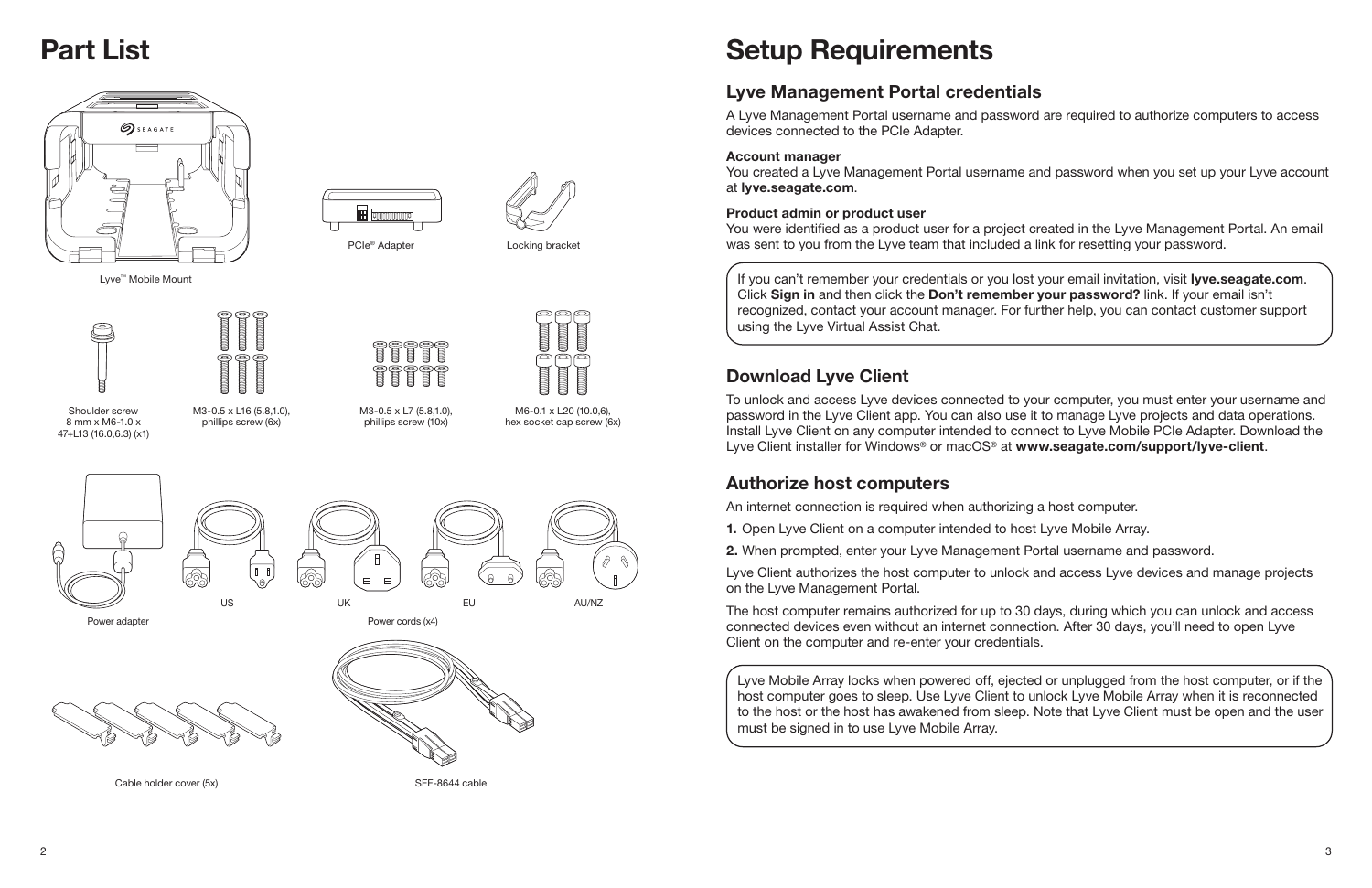

If you can't remember your credentials or you lost your email invitation, visit lyve.seagate.com. Click Sign in and then click the Don't remember your password? link. If your email isn't recognized, contact your account manager. For further help, you can contact customer support using the Lyve Virtual Assist Chat.

# Setup Requirements

# Lyve Management Portal credentials

To unlock and access Lyve devices connected to your computer, you must enter your username and password in the Lyve Client app. You can also use it to manage Lyve projects and data operations. Install Lyve Client on any computer intended to connect to Lyve Mobile PCIe Adapter. Download the Lyve Client installer for Windows<sup>®</sup> or macOS<sup>®</sup> at www.seagate.com/support/lyve-client.

A Lyve Management Portal username and password are required to authorize computers to access devices connected to the PCIe Adapter.

### Account manager

You created a Lyve Management Portal username and password when you set up your Lyve account at lyve.seagate.com.

### Product admin or product user

You were identified as a product user for a project created in the Lyve Management Portal. An email was sent to you from the Lyve team that included a link for resetting your password.

## Download Lyve Client

## Authorize host computers

An internet connection is required when authorizing a host computer.

- 1. Open Lyve Client on a computer intended to host Lyve Mobile Array.
- 2. When prompted, enter your Lyve Management Portal username and password.
- 
- Lyve Client authorizes the host computer to unlock and access Lyve devices and manage projects

on the Lyve Management Portal.

The host computer remains authorized for up to 30 days, during which you can unlock and access connected devices even without an internet connection. After 30 days, you'll need to open Lyve Client on the computer and re-enter your credentials.

# Part List



Lyve Mobile Array locks when powered off, ejected or unplugged from the host computer, or if the host computer goes to sleep. Use Lyve Client to unlock Lyve Mobile Array when it is reconnected to the host or the host has awakened from sleep. Note that Lyve Client must be open and the user must be signed in to use Lyve Mobile Array.

Shoulder screw 8 mm x M6-1.0 x 47+L13 (16.0,6.3) (x1)



PCIe<sup>®</sup> Adapter Locking bracket

Lyve™ Mobile Mount

M3-0.5 x L16 (5.8,1.0), phillips screw (6x)

M3-0.5 x L7 (5.8,1.0), phillips screw (10x)





M6-0.1 x L20 (10.0,6), hex socket cap screw (6x)



Cable holder cover (5x) SFF-8644 cable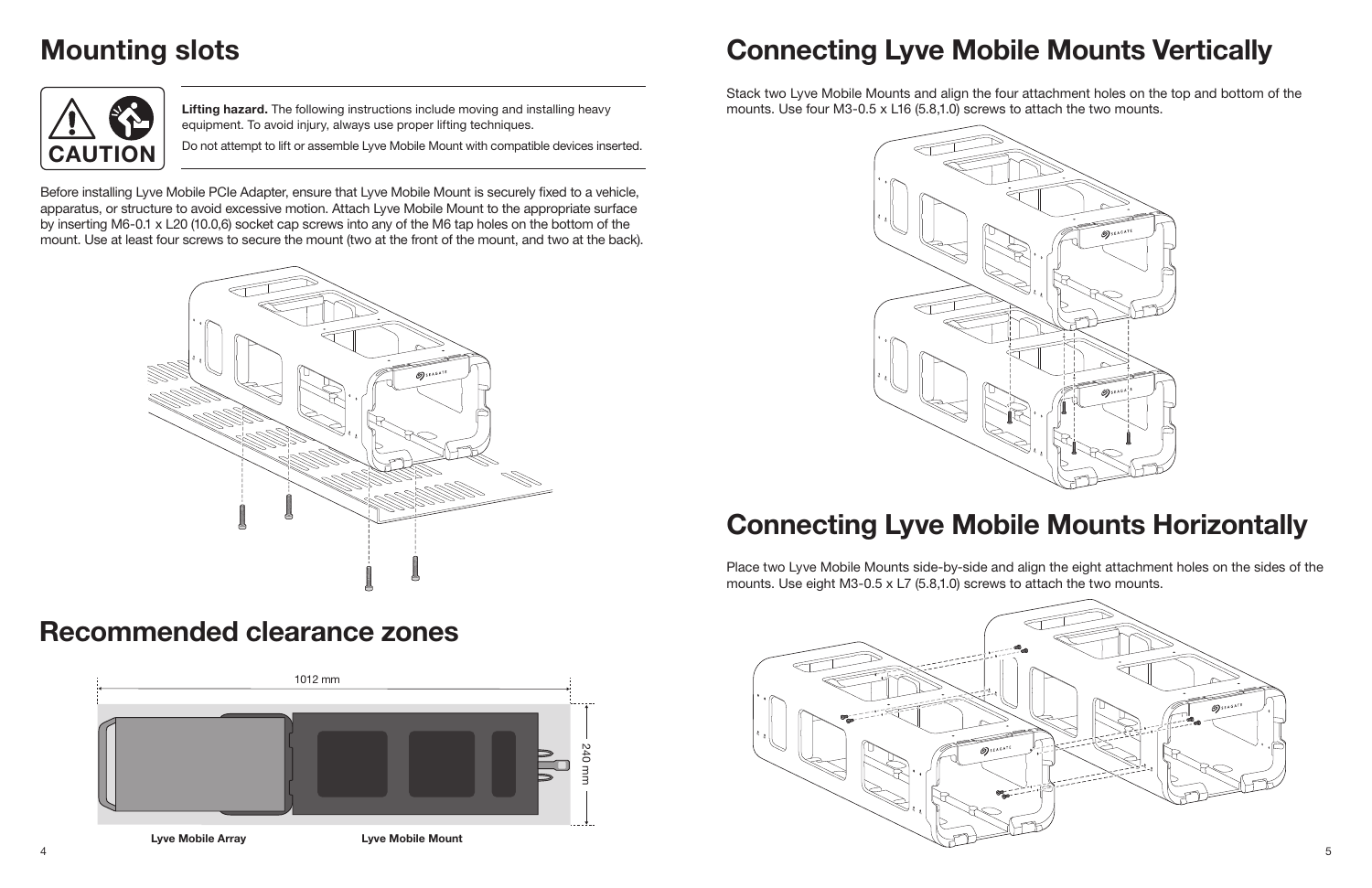

Stack two Lyve Mobile Mounts and align the four attachment holes on the top and bottom of the mounts. Use four M3-0.5 x L16 (5.8,1.0) screws to attach the two mounts.

# Connecting Lyve Mobile Mounts Horizontally

Place two Lyve Mobile Mounts side-by-side and align the eight attachment holes on the sides of the mounts. Use eight M3-0.5 x L7 (5.8,1.0) screws to attach the two mounts.

Lifting hazard. The following instructions include moving and installing heavy equipment. To avoid injury, always use proper lifting techniques.

CAUTION **Do not attempt to lift or assemble Lyve Mobile Mount with compatible devices inserted.** 



Before installing Lyve Mobile PCIe Adapter, ensure that Lyve Mobile Mount is securely fixed to a vehicle, apparatus, or structure to avoid excessive motion. Attach Lyve Mobile Mount to the appropriate surface by inserting M6-0.1 x L20 (10.0,6) socket cap screws into any of the M6 tap holes on the bottom of the mount. Use at least four screws to secure the mount (two at the front of the mount, and two at the back).

# Mounting slots



# Recommended clearance zones



Lyve Mobile Array **Lyve Mobile Mount** 



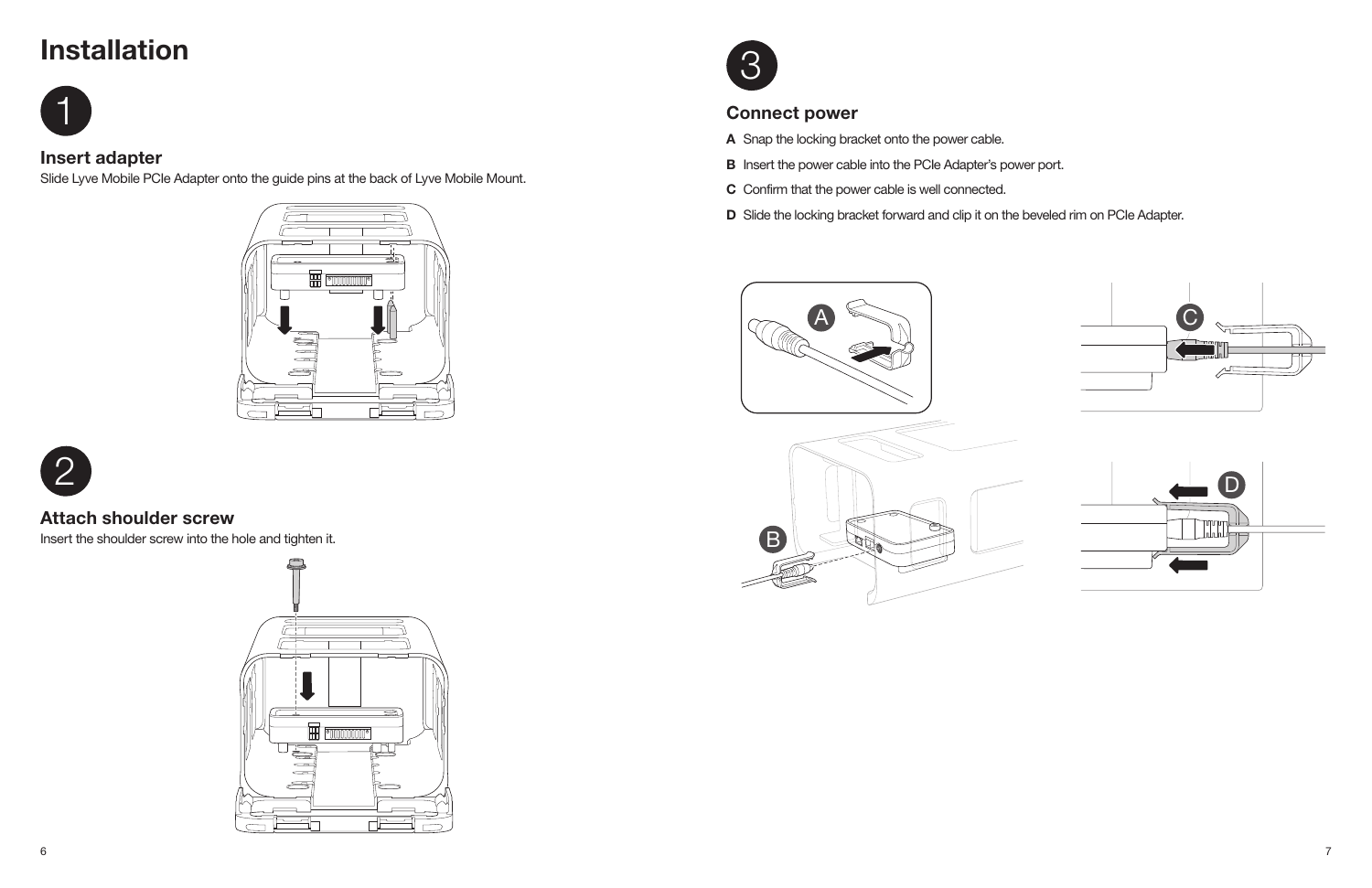

- A Snap the locking bracket onto the power cable.
- **B** Insert the power cable into the PCIe Adapter's power port.
- C Confirm that the power cable is well connected.
- D Slide the locking bracket forward and clip it on the beveled rim on PCIe Adapter.

# Connect power

# **Installation**



### Insert adapter

Slide Lyve Mobile PCIe Adapter onto the guide pins at the back of Lyve Mobile Mount.





### Attach shoulder screw

Insert the shoulder screw into the hole and tighten it.







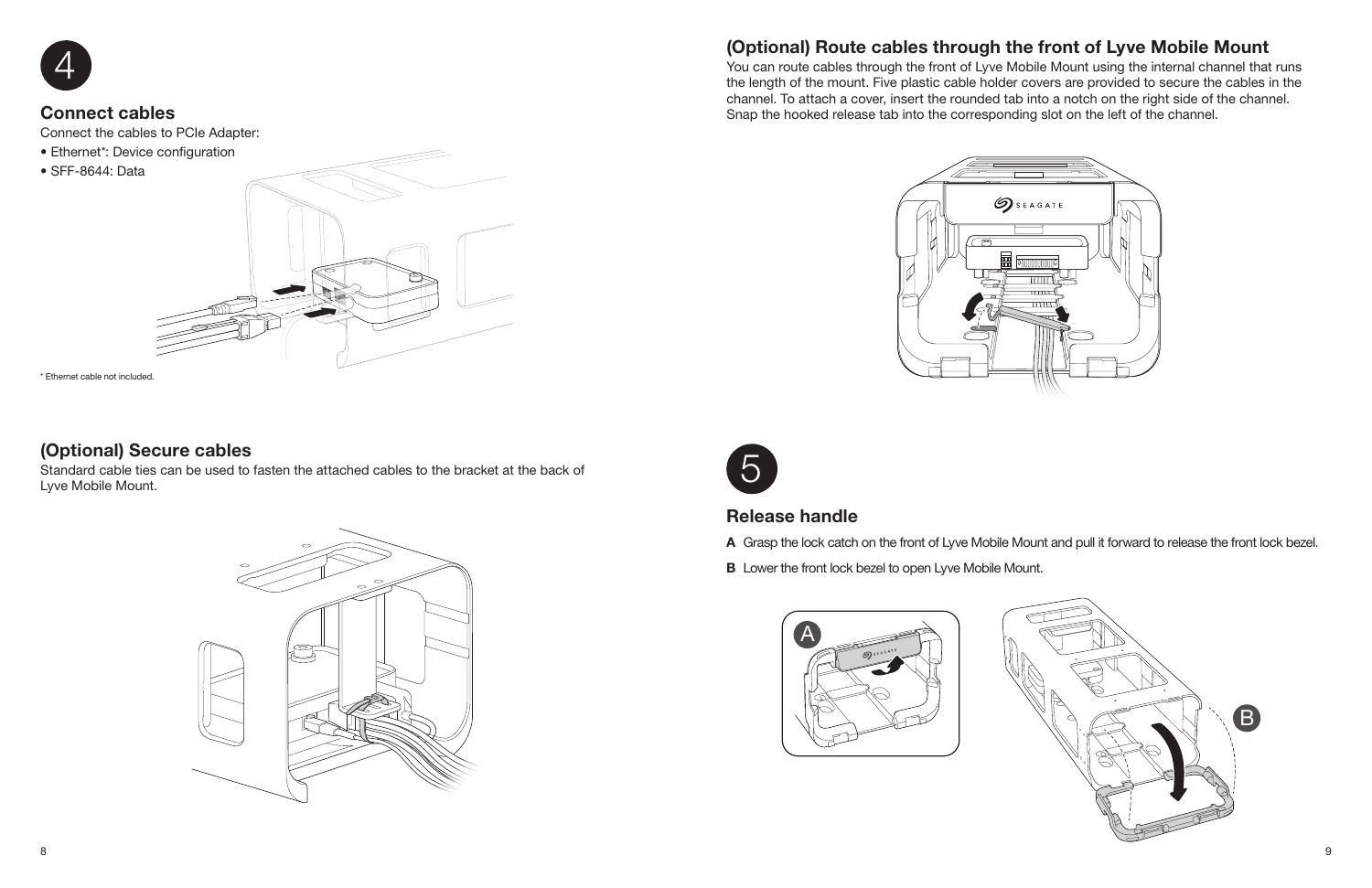

## Release handle

A Grasp the lock catch on the front of Lyve Mobile Mount and pull it forward to release the front lock bezel.

**B** Lower the front lock bezel to open Lyve Mobile Mount.



### Connect cables

Connect the cables to PCIe Adapter:

- Ethernet\*: Device configuration
- SFF-8644: Data



# (Optional) Route cables through the front of Lyve Mobile Mount



You can route cables through the front of Lyve Mobile Mount using the internal channel that runs the length of the mount. Five plastic cable holder covers are provided to secure the cables in the channel. To attach a cover, insert the rounded tab into a notch on the right side of the channel. Snap the hooked release tab into the corresponding slot on the left of the channel.



## (Optional) Secure cables

Standard cable ties can be used to fasten the attached cables to the bracket at the back of Lyve Mobile Mount.



\* Ethernet cable not included.

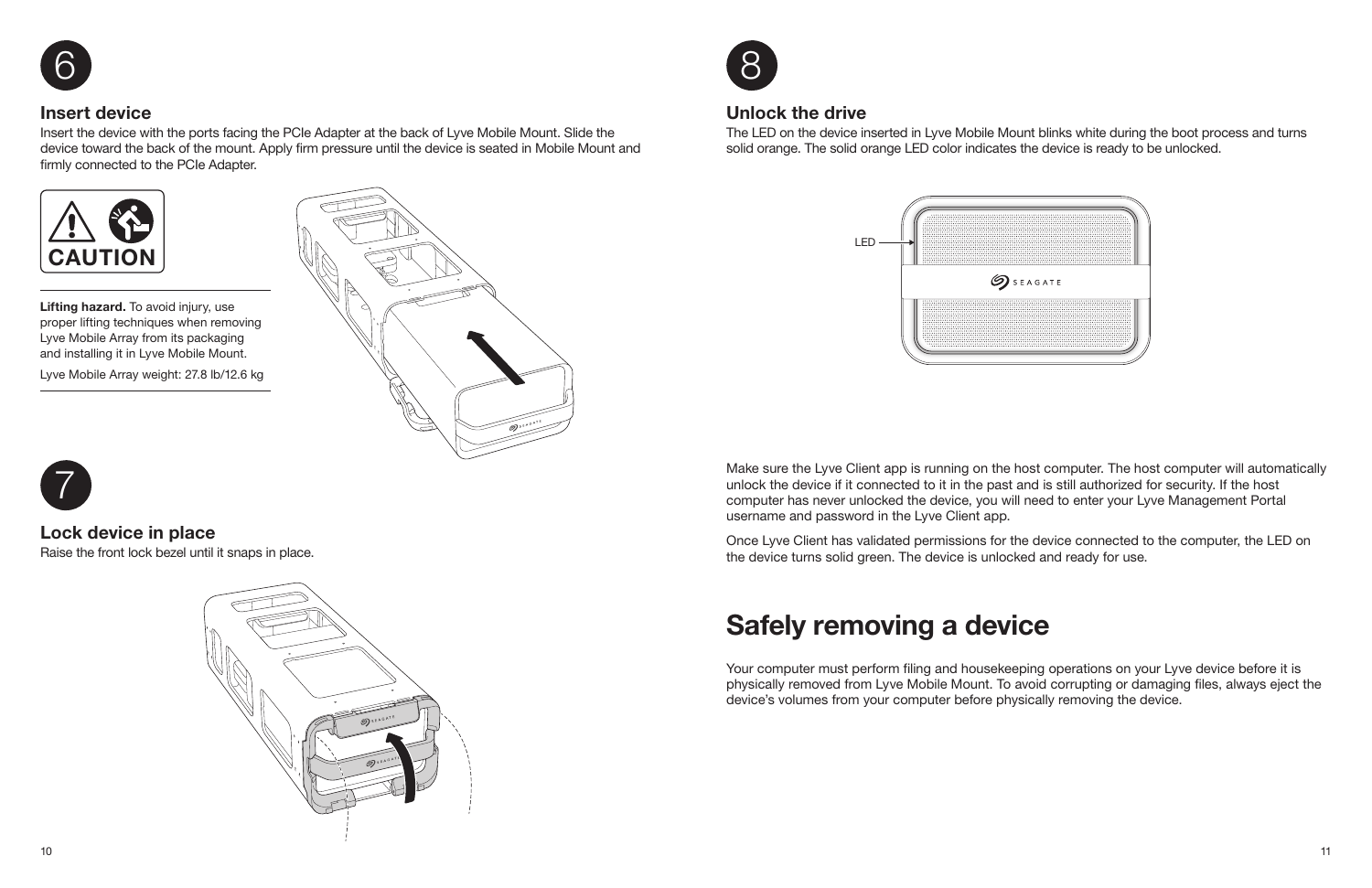

### Insert device

Insert the device with the ports facing the PCIe Adapter at the back of Lyve Mobile Mount. Slide the device toward the back of the mount. Apply firm pressure until the device is seated in Mobile Mount and firmly connected to the PCIe Adapter.

Lifting hazard. To avoid injury, use proper lifting techniques when removing Lyve Mobile Array from its packaging and installing it in Lyve Mobile Mount.

M3





Lyve Mobile Array weight: 27.8 lb/12.6 kg



# 7

# Lock device in place

Raise the front lock bezel until it snaps in place.



### Unlock the drive

The LED on the device inserted in Lyve Mobile Mount blinks white during the boot process and turns solid orange. The solid orange LED color indicates the device is ready to be unlocked.



# Safely removing a device

Your computer must perform filing and housekeeping operations on your Lyve device before it is physically removed from Lyve Mobile Mount. To avoid corrupting or damaging files, always eject the device's volumes from your computer before physically removing the device.

Make sure the Lyve Client app is running on the host computer. The host computer will automatically unlock the device if it connected to it in the past and is still authorized for security. If the host computer has never unlocked the device, you will need to enter your Lyve Management Portal username and password in the Lyve Client app.

Once Lyve Client has validated permissions for the device connected to the computer, the LED on the device turns solid green. The device is unlocked and ready for use.